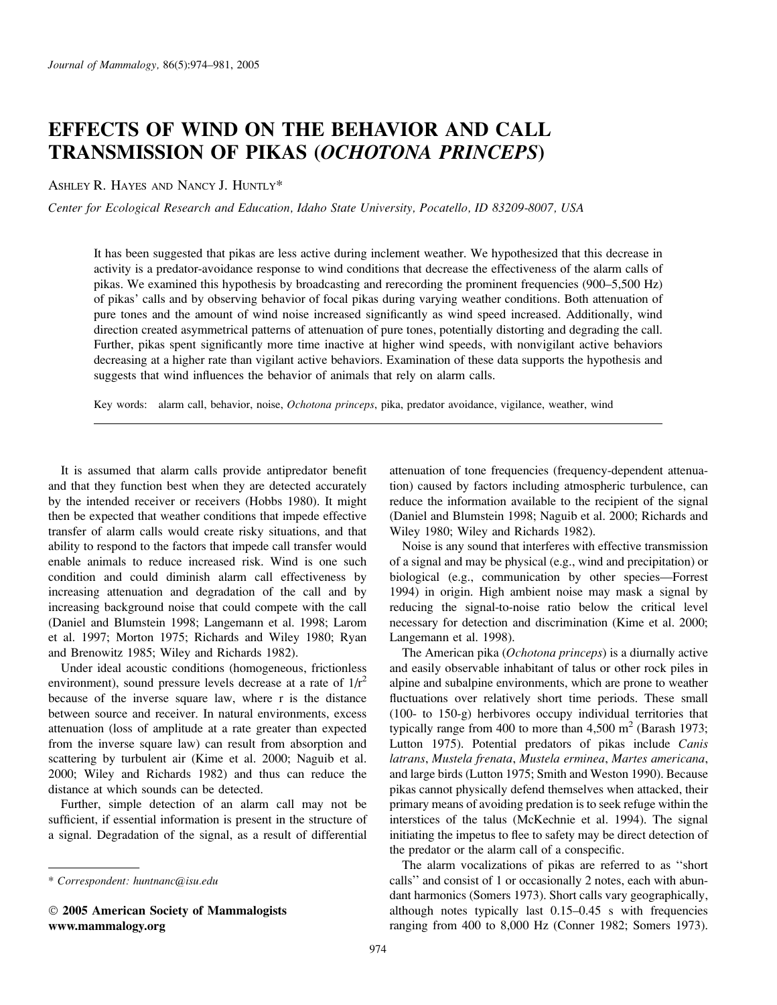# EFFECTS OF WIND ON THE BEHAVIOR AND CALL TRANSMISSION OF PIKAS (OCHOTONA PRINCEPS)

ASHLEY R. HAYES AND NANCY J. HUNTLY\*

Center for Ecological Research and Education, Idaho State University, Pocatello, ID 83209-8007, USA

It has been suggested that pikas are less active during inclement weather. We hypothesized that this decrease in activity is a predator-avoidance response to wind conditions that decrease the effectiveness of the alarm calls of pikas. We examined this hypothesis by broadcasting and rerecording the prominent frequencies (900–5,500 Hz) of pikas' calls and by observing behavior of focal pikas during varying weather conditions. Both attenuation of pure tones and the amount of wind noise increased significantly as wind speed increased. Additionally, wind direction created asymmetrical patterns of attenuation of pure tones, potentially distorting and degrading the call. Further, pikas spent significantly more time inactive at higher wind speeds, with nonvigilant active behaviors decreasing at a higher rate than vigilant active behaviors. Examination of these data supports the hypothesis and suggests that wind influences the behavior of animals that rely on alarm calls.

Key words: alarm call, behavior, noise, Ochotona princeps, pika, predator avoidance, vigilance, weather, wind

It is assumed that alarm calls provide antipredator benefit and that they function best when they are detected accurately by the intended receiver or receivers (Hobbs 1980). It might then be expected that weather conditions that impede effective transfer of alarm calls would create risky situations, and that ability to respond to the factors that impede call transfer would enable animals to reduce increased risk. Wind is one such condition and could diminish alarm call effectiveness by increasing attenuation and degradation of the call and by increasing background noise that could compete with the call (Daniel and Blumstein 1998; Langemann et al. 1998; Larom et al. 1997; Morton 1975; Richards and Wiley 1980; Ryan and Brenowitz 1985; Wiley and Richards 1982).

Under ideal acoustic conditions (homogeneous, frictionless environment), sound pressure levels decrease at a rate of  $1/r^2$ because of the inverse square law, where r is the distance between source and receiver. In natural environments, excess attenuation (loss of amplitude at a rate greater than expected from the inverse square law) can result from absorption and scattering by turbulent air (Kime et al. 2000; Naguib et al. 2000; Wiley and Richards 1982) and thus can reduce the distance at which sounds can be detected.

Further, simple detection of an alarm call may not be sufficient, if essential information is present in the structure of a signal. Degradation of the signal, as a result of differential

 2005 American Society of Mammalogists www.mammalogy.org

attenuation of tone frequencies (frequency-dependent attenuation) caused by factors including atmospheric turbulence, can reduce the information available to the recipient of the signal (Daniel and Blumstein 1998; Naguib et al. 2000; Richards and Wiley 1980; Wiley and Richards 1982).

Noise is any sound that interferes with effective transmission of a signal and may be physical (e.g., wind and precipitation) or biological (e.g., communication by other species—Forrest 1994) in origin. High ambient noise may mask a signal by reducing the signal-to-noise ratio below the critical level necessary for detection and discrimination (Kime et al. 2000; Langemann et al. 1998).

The American pika (Ochotona princeps) is a diurnally active and easily observable inhabitant of talus or other rock piles in alpine and subalpine environments, which are prone to weather fluctuations over relatively short time periods. These small (100- to 150-g) herbivores occupy individual territories that typically range from 400 to more than  $4,500 \text{ m}^2$  (Barash 1973; Lutton 1975). Potential predators of pikas include Canis latrans, Mustela frenata, Mustela erminea, Martes americana, and large birds (Lutton 1975; Smith and Weston 1990). Because pikas cannot physically defend themselves when attacked, their primary means of avoiding predation is to seek refuge within the interstices of the talus (McKechnie et al. 1994). The signal initiating the impetus to flee to safety may be direct detection of the predator or the alarm call of a conspecific.

The alarm vocalizations of pikas are referred to as ''short calls'' and consist of 1 or occasionally 2 notes, each with abundant harmonics (Somers 1973). Short calls vary geographically, although notes typically last 0.15–0.45 s with frequencies ranging from 400 to 8,000 Hz (Conner 1982; Somers 1973).

<sup>\*</sup> Correspondent: huntnanc@isu.edu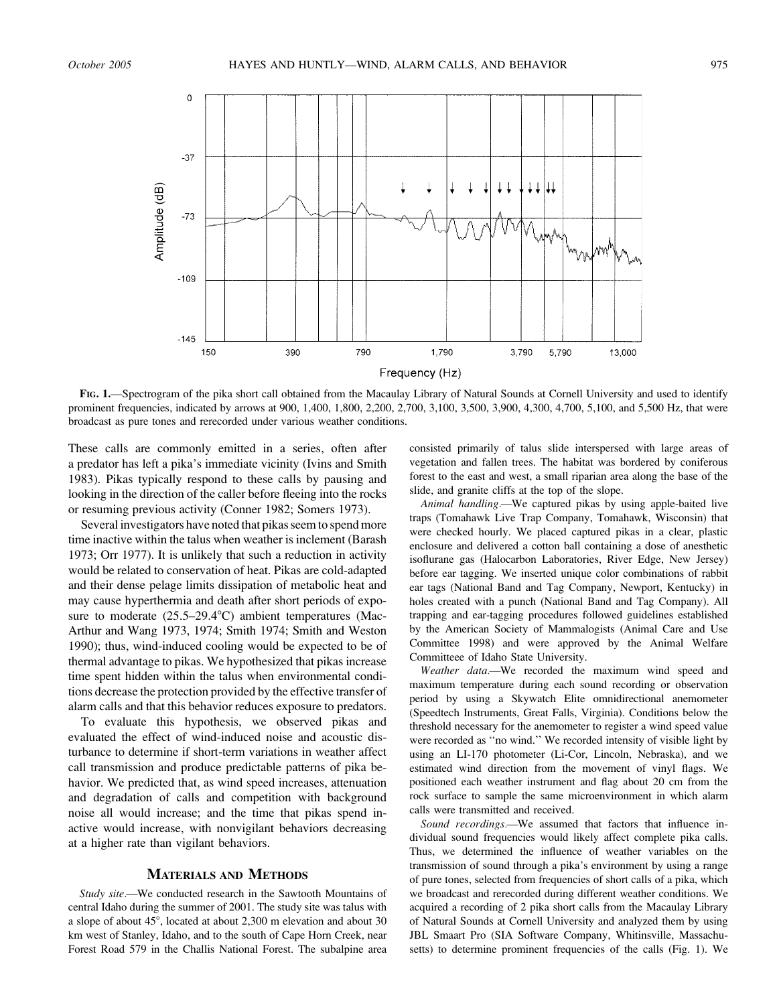

FIG. 1.—Spectrogram of the pika short call obtained from the Macaulay Library of Natural Sounds at Cornell University and used to identify prominent frequencies, indicated by arrows at 900, 1,400, 1,800, 2,200, 2,700, 3,100, 3,500, 3,900, 4,300, 4,700, 5,100, and 5,500 Hz, that were broadcast as pure tones and rerecorded under various weather conditions.

These calls are commonly emitted in a series, often after a predator has left a pika's immediate vicinity (Ivins and Smith 1983). Pikas typically respond to these calls by pausing and looking in the direction of the caller before fleeing into the rocks or resuming previous activity (Conner 1982; Somers 1973).

Several investigators have noted that pikas seem to spend more time inactive within the talus when weather is inclement (Barash 1973; Orr 1977). It is unlikely that such a reduction in activity would be related to conservation of heat. Pikas are cold-adapted and their dense pelage limits dissipation of metabolic heat and may cause hyperthermia and death after short periods of exposure to moderate  $(25.5-29.4^{\circ}C)$  ambient temperatures (Mac-Arthur and Wang 1973, 1974; Smith 1974; Smith and Weston 1990); thus, wind-induced cooling would be expected to be of thermal advantage to pikas. We hypothesized that pikas increase time spent hidden within the talus when environmental conditions decrease the protection provided by the effective transfer of alarm calls and that this behavior reduces exposure to predators.

To evaluate this hypothesis, we observed pikas and evaluated the effect of wind-induced noise and acoustic disturbance to determine if short-term variations in weather affect call transmission and produce predictable patterns of pika behavior. We predicted that, as wind speed increases, attenuation and degradation of calls and competition with background noise all would increase; and the time that pikas spend inactive would increase, with nonvigilant behaviors decreasing at a higher rate than vigilant behaviors.

#### MATERIALS AND METHODS

Study site.—We conducted research in the Sawtooth Mountains of central Idaho during the summer of 2001. The study site was talus with a slope of about  $45^\circ$ , located at about 2,300 m elevation and about 30 km west of Stanley, Idaho, and to the south of Cape Horn Creek, near Forest Road 579 in the Challis National Forest. The subalpine area

consisted primarily of talus slide interspersed with large areas of vegetation and fallen trees. The habitat was bordered by coniferous forest to the east and west, a small riparian area along the base of the slide, and granite cliffs at the top of the slope.

Animal handling.—We captured pikas by using apple-baited live traps (Tomahawk Live Trap Company, Tomahawk, Wisconsin) that were checked hourly. We placed captured pikas in a clear, plastic enclosure and delivered a cotton ball containing a dose of anesthetic isoflurane gas (Halocarbon Laboratories, River Edge, New Jersey) before ear tagging. We inserted unique color combinations of rabbit ear tags (National Band and Tag Company, Newport, Kentucky) in holes created with a punch (National Band and Tag Company). All trapping and ear-tagging procedures followed guidelines established by the American Society of Mammalogists (Animal Care and Use Committee 1998) and were approved by the Animal Welfare Committeee of Idaho State University.

Weather data.-We recorded the maximum wind speed and maximum temperature during each sound recording or observation period by using a Skywatch Elite omnidirectional anemometer (Speedtech Instruments, Great Falls, Virginia). Conditions below the threshold necessary for the anemometer to register a wind speed value were recorded as ''no wind.'' We recorded intensity of visible light by using an LI-170 photometer (Li-Cor, Lincoln, Nebraska), and we estimated wind direction from the movement of vinyl flags. We positioned each weather instrument and flag about 20 cm from the rock surface to sample the same microenvironment in which alarm calls were transmitted and received.

Sound recordings.—We assumed that factors that influence individual sound frequencies would likely affect complete pika calls. Thus, we determined the influence of weather variables on the transmission of sound through a pika's environment by using a range of pure tones, selected from frequencies of short calls of a pika, which we broadcast and rerecorded during different weather conditions. We acquired a recording of 2 pika short calls from the Macaulay Library of Natural Sounds at Cornell University and analyzed them by using JBL Smaart Pro (SIA Software Company, Whitinsville, Massachusetts) to determine prominent frequencies of the calls (Fig. 1). We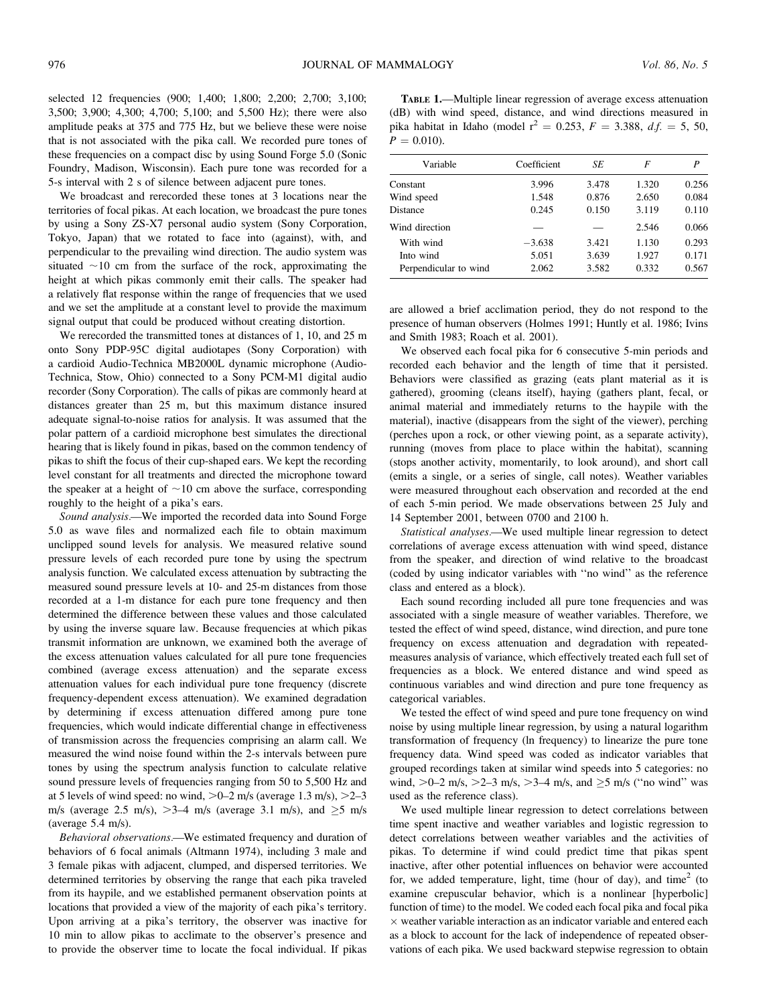selected 12 frequencies (900; 1,400; 1,800; 2,200; 2,700; 3,100; 3,500; 3,900; 4,300; 4,700; 5,100; and 5,500 Hz); there were also amplitude peaks at 375 and 775 Hz, but we believe these were noise that is not associated with the pika call. We recorded pure tones of these frequencies on a compact disc by using Sound Forge 5.0 (Sonic Foundry, Madison, Wisconsin). Each pure tone was recorded for a 5-s interval with 2 s of silence between adjacent pure tones.

We broadcast and rerecorded these tones at 3 locations near the territories of focal pikas. At each location, we broadcast the pure tones by using a Sony ZS-X7 personal audio system (Sony Corporation, Tokyo, Japan) that we rotated to face into (against), with, and perpendicular to the prevailing wind direction. The audio system was situated  $\sim$ 10 cm from the surface of the rock, approximating the height at which pikas commonly emit their calls. The speaker had a relatively flat response within the range of frequencies that we used and we set the amplitude at a constant level to provide the maximum signal output that could be produced without creating distortion.

We rerecorded the transmitted tones at distances of 1, 10, and 25 m onto Sony PDP-95C digital audiotapes (Sony Corporation) with a cardioid Audio-Technica MB2000L dynamic microphone (Audio-Technica, Stow, Ohio) connected to a Sony PCM-M1 digital audio recorder (Sony Corporation). The calls of pikas are commonly heard at distances greater than 25 m, but this maximum distance insured adequate signal-to-noise ratios for analysis. It was assumed that the polar pattern of a cardioid microphone best simulates the directional hearing that is likely found in pikas, based on the common tendency of pikas to shift the focus of their cup-shaped ears. We kept the recording level constant for all treatments and directed the microphone toward the speaker at a height of  $\sim$ 10 cm above the surface, corresponding roughly to the height of a pika's ears.

Sound analysis.—We imported the recorded data into Sound Forge 5.0 as wave files and normalized each file to obtain maximum unclipped sound levels for analysis. We measured relative sound pressure levels of each recorded pure tone by using the spectrum analysis function. We calculated excess attenuation by subtracting the measured sound pressure levels at 10- and 25-m distances from those recorded at a 1-m distance for each pure tone frequency and then determined the difference between these values and those calculated by using the inverse square law. Because frequencies at which pikas transmit information are unknown, we examined both the average of the excess attenuation values calculated for all pure tone frequencies combined (average excess attenuation) and the separate excess attenuation values for each individual pure tone frequency (discrete frequency-dependent excess attenuation). We examined degradation by determining if excess attenuation differed among pure tone frequencies, which would indicate differential change in effectiveness of transmission across the frequencies comprising an alarm call. We measured the wind noise found within the 2-s intervals between pure tones by using the spectrum analysis function to calculate relative sound pressure levels of frequencies ranging from 50 to 5,500 Hz and at 5 levels of wind speed: no wind,  $>0-2$  m/s (average 1.3 m/s),  $>2-3$ m/s (average 2.5 m/s),  $>3-4$  m/s (average 3.1 m/s), and  $\geq 5$  m/s (average 5.4 m/s).

Behavioral observations.—We estimated frequency and duration of behaviors of 6 focal animals (Altmann 1974), including 3 male and 3 female pikas with adjacent, clumped, and dispersed territories. We determined territories by observing the range that each pika traveled from its haypile, and we established permanent observation points at locations that provided a view of the majority of each pika's territory. Upon arriving at a pika's territory, the observer was inactive for 10 min to allow pikas to acclimate to the observer's presence and to provide the observer time to locate the focal individual. If pikas

TABLE 1.—Multiple linear regression of average excess attenuation (dB) with wind speed, distance, and wind directions measured in pika habitat in Idaho (model  $r^2 = 0.253$ ,  $F = 3.388$ ,  $df = 5$ , 50,  $P = 0.010$ .

| Variable              | Coefficient | SE    | F     | P     |
|-----------------------|-------------|-------|-------|-------|
| Constant              | 3.996       | 3.478 | 1.320 | 0.256 |
| Wind speed            | 1.548       | 0.876 | 2.650 | 0.084 |
| <b>Distance</b>       | 0.245       | 0.150 | 3.119 | 0.110 |
| Wind direction        |             |       | 2.546 | 0.066 |
| With wind             | $-3.638$    | 3.421 | 1.130 | 0.293 |
| Into wind             | 5.051       | 3.639 | 1.927 | 0.171 |
| Perpendicular to wind | 2.062       | 3.582 | 0.332 | 0.567 |

are allowed a brief acclimation period, they do not respond to the presence of human observers (Holmes 1991; Huntly et al. 1986; Ivins and Smith 1983; Roach et al. 2001).

We observed each focal pika for 6 consecutive 5-min periods and recorded each behavior and the length of time that it persisted. Behaviors were classified as grazing (eats plant material as it is gathered), grooming (cleans itself), haying (gathers plant, fecal, or animal material and immediately returns to the haypile with the material), inactive (disappears from the sight of the viewer), perching (perches upon a rock, or other viewing point, as a separate activity), running (moves from place to place within the habitat), scanning (stops another activity, momentarily, to look around), and short call (emits a single, or a series of single, call notes). Weather variables were measured throughout each observation and recorded at the end of each 5-min period. We made observations between 25 July and 14 September 2001, between 0700 and 2100 h.

Statistical analyses.—We used multiple linear regression to detect correlations of average excess attenuation with wind speed, distance from the speaker, and direction of wind relative to the broadcast (coded by using indicator variables with ''no wind'' as the reference class and entered as a block).

Each sound recording included all pure tone frequencies and was associated with a single measure of weather variables. Therefore, we tested the effect of wind speed, distance, wind direction, and pure tone frequency on excess attenuation and degradation with repeatedmeasures analysis of variance, which effectively treated each full set of frequencies as a block. We entered distance and wind speed as continuous variables and wind direction and pure tone frequency as categorical variables.

We tested the effect of wind speed and pure tone frequency on wind noise by using multiple linear regression, by using a natural logarithm transformation of frequency (ln frequency) to linearize the pure tone frequency data. Wind speed was coded as indicator variables that grouped recordings taken at similar wind speeds into 5 categories: no wind,  $>0-2$  m/s,  $>2-3$  m/s,  $>3-4$  m/s, and  $\geq 5$  m/s ("no wind" was used as the reference class).

We used multiple linear regression to detect correlations between time spent inactive and weather variables and logistic regression to detect correlations between weather variables and the activities of pikas. To determine if wind could predict time that pikas spent inactive, after other potential influences on behavior were accounted for, we added temperature, light, time (hour of day), and time<sup>2</sup> (to examine crepuscular behavior, which is a nonlinear [hyperbolic] function of time) to the model. We coded each focal pika and focal pika  $\times$  weather variable interaction as an indicator variable and entered each as a block to account for the lack of independence of repeated observations of each pika. We used backward stepwise regression to obtain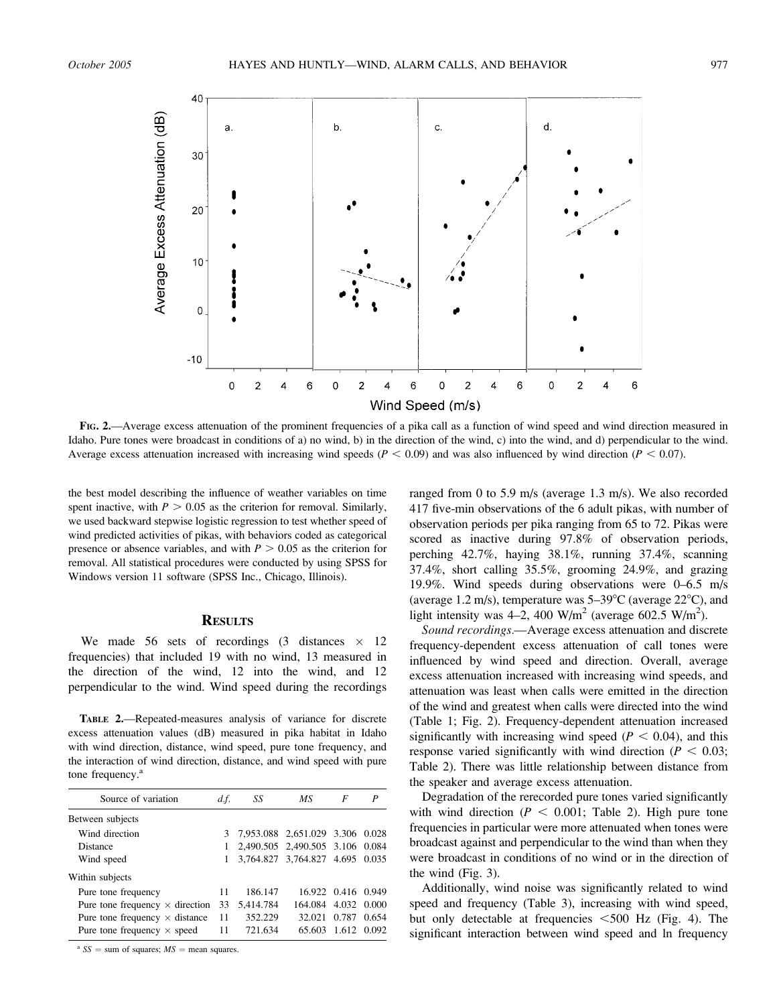

FIG. 2.—Average excess attenuation of the prominent frequencies of a pika call as a function of wind speed and wind direction measured in Idaho. Pure tones were broadcast in conditions of a) no wind, b) in the direction of the wind, c) into the wind, and d) perpendicular to the wind. Average excess attenuation increased with increasing wind speeds ( $P < 0.09$ ) and was also influenced by wind direction ( $P < 0.07$ ).

the best model describing the influence of weather variables on time spent inactive, with  $P > 0.05$  as the criterion for removal. Similarly, we used backward stepwise logistic regression to test whether speed of wind predicted activities of pikas, with behaviors coded as categorical presence or absence variables, and with  $P > 0.05$  as the criterion for removal. All statistical procedures were conducted by using SPSS for Windows version 11 software (SPSS Inc., Chicago, Illinois).

#### **RESULTS**

We made 56 sets of recordings (3 distances  $\times$  12 frequencies) that included 19 with no wind, 13 measured in the direction of the wind, 12 into the wind, and 12 perpendicular to the wind. Wind speed during the recordings

TABLE 2.—Repeated-measures analysis of variance for discrete excess attenuation values (dB) measured in pika habitat in Idaho with wind direction, distance, wind speed, pure tone frequency, and the interaction of wind direction, distance, and wind speed with pure tone frequency.<sup>a</sup>

| Source of variation                    | $df$ . | SS                                | МS                              | F           | P     |  |
|----------------------------------------|--------|-----------------------------------|---------------------------------|-------------|-------|--|
| Between subjects                       |        |                                   |                                 |             |       |  |
| Wind direction                         |        | 3 7,953,088 2,651,029 3,306 0.028 |                                 |             |       |  |
| <b>Distance</b>                        | 1.     |                                   | 2,490.505 2,490.505 3.106 0.084 |             |       |  |
| Wind speed                             |        |                                   | 3,764.827 3,764.827 4.695 0.035 |             |       |  |
| Within subjects                        |        |                                   |                                 |             |       |  |
| Pure tone frequency                    | 11     | 186.147                           | 16.922 0.416 0.949              |             |       |  |
| Pure tone frequency $\times$ direction | 33     | 5.414.784                         | 164.084 4.032 0.000             |             |       |  |
| Pure tone frequency $\times$ distance  | -11    | 352.229                           | 32.021                          | 0.787       | 0.654 |  |
| Pure tone frequency $\times$ speed     | 11     | 721.634                           | 65.603                          | 1.612 0.092 |       |  |

 $A^a$  SS = sum of squares;  $MS$  = mean squares.

ranged from 0 to 5.9 m/s (average 1.3 m/s). We also recorded 417 five-min observations of the 6 adult pikas, with number of observation periods per pika ranging from 65 to 72. Pikas were scored as inactive during 97.8% of observation periods, perching 42.7%, haying 38.1%, running 37.4%, scanning 37.4%, short calling 35.5%, grooming 24.9%, and grazing 19.9%. Wind speeds during observations were 0–6.5 m/s (average 1.2 m/s), temperature was  $5-39^{\circ}$ C (average  $22^{\circ}$ C), and light intensity was  $4-2$ , 400 W/m<sup>2</sup> (average 602.5 W/m<sup>2</sup>).

Sound recordings.—Average excess attenuation and discrete frequency-dependent excess attenuation of call tones were influenced by wind speed and direction. Overall, average excess attenuation increased with increasing wind speeds, and attenuation was least when calls were emitted in the direction of the wind and greatest when calls were directed into the wind (Table 1; Fig. 2). Frequency-dependent attenuation increased significantly with increasing wind speed ( $P < 0.04$ ), and this response varied significantly with wind direction ( $P < 0.03$ ; Table 2). There was little relationship between distance from the speaker and average excess attenuation.

Degradation of the rerecorded pure tones varied significantly with wind direction ( $P < 0.001$ ; Table 2). High pure tone frequencies in particular were more attenuated when tones were broadcast against and perpendicular to the wind than when they were broadcast in conditions of no wind or in the direction of the wind (Fig. 3).

Additionally, wind noise was significantly related to wind speed and frequency (Table 3), increasing with wind speed, but only detectable at frequencies  $\leq 500$  Hz (Fig. 4). The significant interaction between wind speed and ln frequency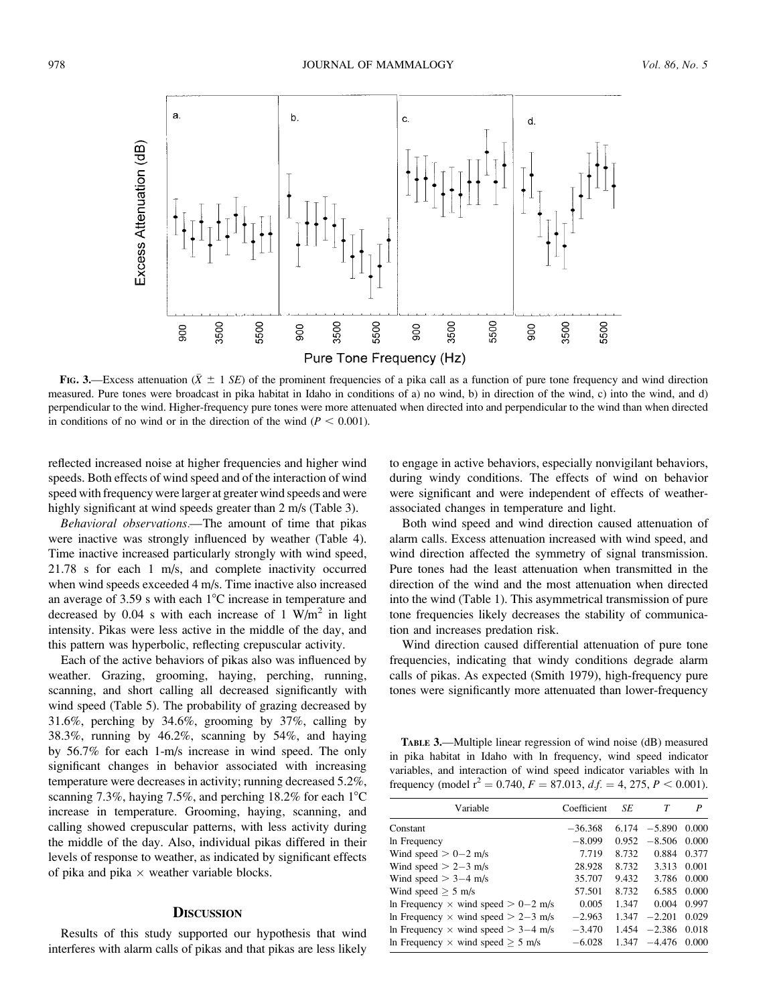

FIG. 3.—Excess attenuation ( $\bar{X} \pm 1$  SE) of the prominent frequencies of a pika call as a function of pure tone frequency and wind direction measured. Pure tones were broadcast in pika habitat in Idaho in conditions of a) no wind, b) in direction of the wind, c) into the wind, and d) perpendicular to the wind. Higher-frequency pure tones were more attenuated when directed into and perpendicular to the wind than when directed in conditions of no wind or in the direction of the wind ( $P < 0.001$ ).

reflected increased noise at higher frequencies and higher wind speeds. Both effects of wind speed and of the interaction of wind speed with frequency were larger at greater wind speeds and were highly significant at wind speeds greater than 2 m/s (Table 3).

Behavioral observations.—The amount of time that pikas were inactive was strongly influenced by weather (Table 4). Time inactive increased particularly strongly with wind speed, 21.78 s for each 1 m/s, and complete inactivity occurred when wind speeds exceeded 4 m/s. Time inactive also increased an average of  $3.59$  s with each  $1^{\circ}$ C increase in temperature and decreased by 0.04 s with each increase of 1  $W/m<sup>2</sup>$  in light intensity. Pikas were less active in the middle of the day, and this pattern was hyperbolic, reflecting crepuscular activity.

Each of the active behaviors of pikas also was influenced by weather. Grazing, grooming, haying, perching, running, scanning, and short calling all decreased significantly with wind speed (Table 5). The probability of grazing decreased by 31.6%, perching by 34.6%, grooming by 37%, calling by 38.3%, running by 46.2%, scanning by 54%, and haying by 56.7% for each 1-m/s increase in wind speed. The only significant changes in behavior associated with increasing temperature were decreases in activity; running decreased 5.2%, scanning 7.3%, haying 7.5%, and perching 18.2% for each  $1^{\circ}$ C increase in temperature. Grooming, haying, scanning, and calling showed crepuscular patterns, with less activity during the middle of the day. Also, individual pikas differed in their levels of response to weather, as indicated by significant effects of pika and pika  $\times$  weather variable blocks.

#### **DISCUSSION**

Results of this study supported our hypothesis that wind interferes with alarm calls of pikas and that pikas are less likely to engage in active behaviors, especially nonvigilant behaviors, during windy conditions. The effects of wind on behavior were significant and were independent of effects of weatherassociated changes in temperature and light.

Both wind speed and wind direction caused attenuation of alarm calls. Excess attenuation increased with wind speed, and wind direction affected the symmetry of signal transmission. Pure tones had the least attenuation when transmitted in the direction of the wind and the most attenuation when directed into the wind (Table 1). This asymmetrical transmission of pure tone frequencies likely decreases the stability of communication and increases predation risk.

Wind direction caused differential attenuation of pure tone frequencies, indicating that windy conditions degrade alarm calls of pikas. As expected (Smith 1979), high-frequency pure tones were significantly more attenuated than lower-frequency

TABLE 3.—Multiple linear regression of wind noise (dB) measured in pika habitat in Idaho with ln frequency, wind speed indicator variables, and interaction of wind speed indicator variables with ln frequency (model  $r^2 = 0.740$ ,  $F = 87.013$ ,  $df = 4$ , 275,  $P \le 0.001$ ).

| Variable                                     | Coefficient | SE    | T        | P     |
|----------------------------------------------|-------------|-------|----------|-------|
| Constant                                     | $-36.368$   | 6.174 | $-5.890$ | 0.000 |
| In Frequency                                 | $-8.099$    | 0.952 | $-8.506$ | 0.000 |
| Wind speed $> 0-2$ m/s                       | 7.719       | 8.732 | 0.884    | 0.377 |
| Wind speed $> 2-3$ m/s                       | 28.928      | 8.732 | 3.313    | 0.001 |
| Wind speed $>$ 3–4 m/s                       | 35.707      | 9.432 | 3.786    | 0.000 |
| Wind speed $> 5$ m/s                         | 57.501      | 8.732 | 6.585    | 0.000 |
| In Frequency $\times$ wind speed $> 0-2$ m/s | 0.005       | 1.347 | 0.004    | 0.997 |
| In Frequency $\times$ wind speed $> 2-3$ m/s | $-2.963$    | 1.347 | $-2.201$ | 0.029 |
| In Frequency $\times$ wind speed $>$ 3–4 m/s | $-3.470$    | 1.454 | $-2.386$ | 0.018 |
| In Frequency $\times$ wind speed $> 5$ m/s   | $-6.028$    | 1.347 | $-4.476$ | 0.000 |
|                                              |             |       |          |       |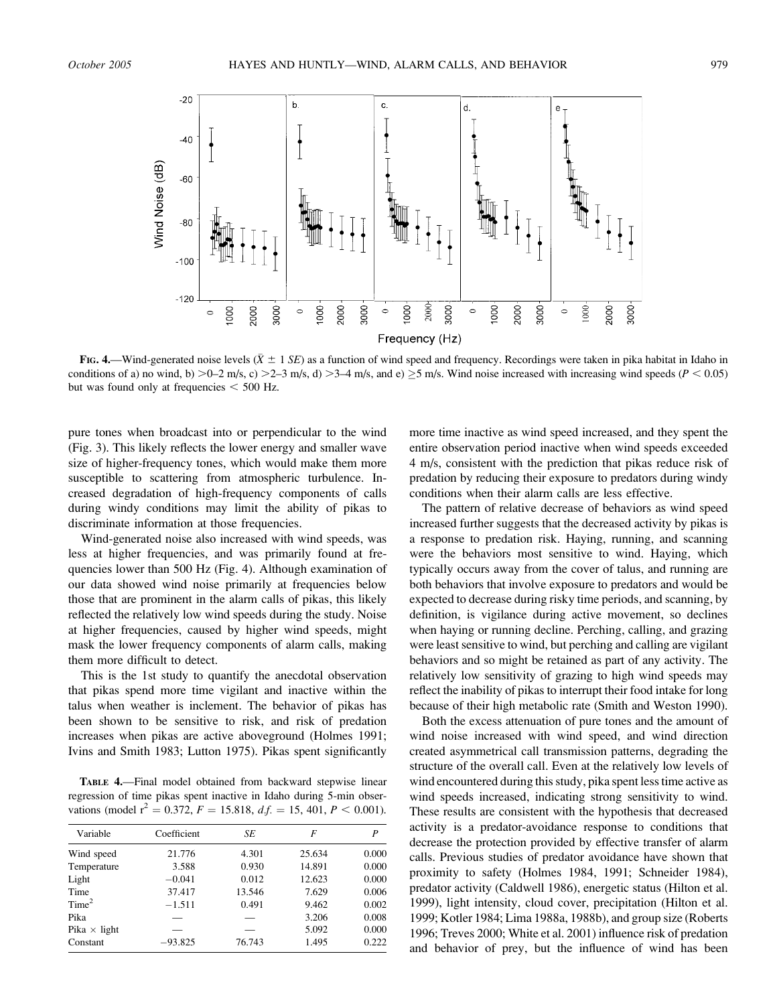

FIG. 4.—Wind-generated noise levels ( $\bar{X} \pm 1$  SE) as a function of wind speed and frequency. Recordings were taken in pika habitat in Idaho in conditions of a) no wind, b)  $>0$ –2 m/s, c)  $>2$ –3 m/s, d)  $>3$ –4 m/s, and e)  $\geq$ 5 m/s. Wind noise increased with increasing wind speeds (P < 0.05) but was found only at frequencies  $<$  500 Hz.

pure tones when broadcast into or perpendicular to the wind (Fig. 3). This likely reflects the lower energy and smaller wave size of higher-frequency tones, which would make them more susceptible to scattering from atmospheric turbulence. Increased degradation of high-frequency components of calls during windy conditions may limit the ability of pikas to discriminate information at those frequencies.

Wind-generated noise also increased with wind speeds, was less at higher frequencies, and was primarily found at frequencies lower than 500 Hz (Fig. 4). Although examination of our data showed wind noise primarily at frequencies below those that are prominent in the alarm calls of pikas, this likely reflected the relatively low wind speeds during the study. Noise at higher frequencies, caused by higher wind speeds, might mask the lower frequency components of alarm calls, making them more difficult to detect.

This is the 1st study to quantify the anecdotal observation that pikas spend more time vigilant and inactive within the talus when weather is inclement. The behavior of pikas has been shown to be sensitive to risk, and risk of predation increases when pikas are active aboveground (Holmes 1991; Ivins and Smith 1983; Lutton 1975). Pikas spent significantly

TABLE 4.—Final model obtained from backward stepwise linear regression of time pikas spent inactive in Idaho during 5-min observations (model  $r^2 = 0.372$ ,  $F = 15.818$ ,  $df = 15, 401$ ,  $P < 0.001$ ).

| Variable            | Coefficient | SE     | F      | P     |
|---------------------|-------------|--------|--------|-------|
|                     |             |        |        |       |
| Wind speed          | 21.776      | 4.301  | 25.634 | 0.000 |
| Temperature         | 3.588       | 0.930  | 14.891 | 0.000 |
| Light               | $-0.041$    | 0.012  | 12.623 | 0.000 |
| Time                | 37.417      | 13.546 | 7.629  | 0.006 |
| Time <sup>2</sup>   | $-1.511$    | 0.491  | 9.462  | 0.002 |
| Pika                |             |        | 3.206  | 0.008 |
| Pika $\times$ light |             |        | 5.092  | 0.000 |
| Constant            | $-93.825$   | 76.743 | 1.495  | 0.222 |

more time inactive as wind speed increased, and they spent the entire observation period inactive when wind speeds exceeded 4 m/s, consistent with the prediction that pikas reduce risk of predation by reducing their exposure to predators during windy conditions when their alarm calls are less effective.

The pattern of relative decrease of behaviors as wind speed increased further suggests that the decreased activity by pikas is a response to predation risk. Haying, running, and scanning were the behaviors most sensitive to wind. Haying, which typically occurs away from the cover of talus, and running are both behaviors that involve exposure to predators and would be expected to decrease during risky time periods, and scanning, by definition, is vigilance during active movement, so declines when haying or running decline. Perching, calling, and grazing were least sensitive to wind, but perching and calling are vigilant behaviors and so might be retained as part of any activity. The relatively low sensitivity of grazing to high wind speeds may reflect the inability of pikas to interrupt their food intake for long because of their high metabolic rate (Smith and Weston 1990).

Both the excess attenuation of pure tones and the amount of wind noise increased with wind speed, and wind direction created asymmetrical call transmission patterns, degrading the structure of the overall call. Even at the relatively low levels of wind encountered during this study, pika spent less time active as wind speeds increased, indicating strong sensitivity to wind. These results are consistent with the hypothesis that decreased activity is a predator-avoidance response to conditions that decrease the protection provided by effective transfer of alarm calls. Previous studies of predator avoidance have shown that proximity to safety (Holmes 1984, 1991; Schneider 1984), predator activity (Caldwell 1986), energetic status (Hilton et al. 1999), light intensity, cloud cover, precipitation (Hilton et al. 1999; Kotler 1984; Lima 1988a, 1988b), and group size (Roberts 1996; Treves 2000; White et al. 2001) influence risk of predation and behavior of prey, but the influence of wind has been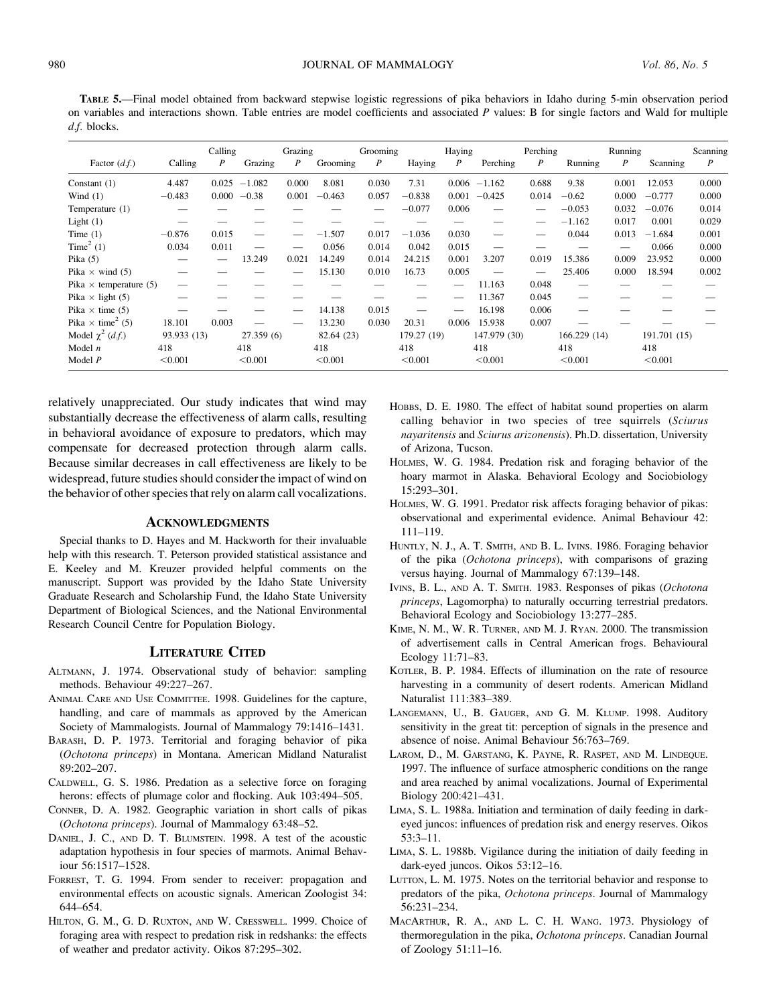TABLE 5.—Final model obtained from backward stepwise logistic regressions of pika behaviors in Idaho during 5-min observation period on variables and interactions shown. Table entries are model coefficients and associated P values: B for single factors and Wald for multiple d.f. blocks.

| Factor $(d.f.)$                     | Calling     | Calling<br>P | Grazing   | Grazing<br>P | Grooming   | Grooming<br>$\boldsymbol{P}$ | Haying      | Haying<br>$\boldsymbol{P}$ | Perching     | Perching<br>$\boldsymbol{P}$ | Running      | Running<br>$\boldsymbol{P}$ | Scanning     | Scanning<br>$\boldsymbol{P}$ |
|-------------------------------------|-------------|--------------|-----------|--------------|------------|------------------------------|-------------|----------------------------|--------------|------------------------------|--------------|-----------------------------|--------------|------------------------------|
| Constant (1)                        | 4.487       | 0.025        | $-1.082$  | 0.000        | 8.081      | 0.030                        | 7.31        | 0.006                      | $-1.162$     | 0.688                        | 9.38         | 0.001                       | 12.053       | 0.000                        |
| Wind $(1)$                          | $-0.483$    | 0.000        | $-0.38$   | 0.001        | $-0.463$   | 0.057                        | $-0.838$    | 0.001                      | $-0.425$     | 0.014                        | $-0.62$      | 0.000                       | $-0.777$     | 0.000                        |
| Temperature (1)                     |             |              |           |              |            |                              | $-0.077$    | 0.006                      |              |                              | $-0.053$     | 0.032                       | $-0.076$     | 0.014                        |
| Light $(1)$                         |             |              |           |              |            |                              |             |                            |              |                              | $-1.162$     | 0.017                       | 0.001        | 0.029                        |
| Time $(1)$                          | $-0.876$    | 0.015        |           | —            | 1.507<br>- | 0.017                        | $-1.036$    | 0.030                      |              |                              | 0.044        | 0.013                       | $-1.684$     | 0.001                        |
| Time <sup>2</sup> $(1)$             | 0.034       | 0.011        |           |              | 0.056      | 0.014                        | 0.042       | 0.015                      |              |                              |              |                             | 0.066        | 0.000                        |
| Pika $(5)$                          | --          |              | 13.249    | 0.021        | 14.249     | 0.014                        | 24.215      | 0.001                      | 3.207        | 0.019                        | 15.386       | 0.009                       | 23.952       | 0.000                        |
| Pika $\times$ wind (5)              |             |              |           |              | 15.130     | 0.010                        | 16.73       | 0.005                      |              |                              | 25.406       | 0.000                       | 18.594       | 0.002                        |
| Pika $\times$ temperature (5)       |             |              |           |              |            |                              |             |                            | 11.163       | 0.048                        |              |                             |              |                              |
| Pika $\times$ light (5)             |             |              |           |              |            |                              |             | —                          | 11.367       | 0.045                        |              |                             |              |                              |
| Pika $\times$ time (5)              |             |              |           |              | 14.138     | 0.015                        |             | $\overline{\phantom{m}}$   | 16.198       | 0.006                        |              |                             |              |                              |
| Pika $\times$ time <sup>2</sup> (5) | 18.101      | 0.003        |           |              | 13.230     | 0.030                        | 20.31       | 0.006                      | 15.938       | 0.007                        |              |                             |              |                              |
| Model $\chi^2$ (d.f.)               | 93.933 (13) |              | 27.359(6) |              | 82.64 (23) |                              | 179.27 (19) |                            | 147.979 (30) |                              | 166.229 (14) |                             | 191.701 (15) |                              |
| Model $n$                           | 418         |              | 418       |              | 418        |                              | 418         |                            | 418          |                              | 418          |                             | 418          |                              |
| Model $P$                           | < 0.001     |              | < 0.001   |              | < 0.001    |                              | < 0.001     |                            | < 0.001      |                              | < 0.001      |                             | < 0.001      |                              |

relatively unappreciated. Our study indicates that wind may substantially decrease the effectiveness of alarm calls, resulting in behavioral avoidance of exposure to predators, which may compensate for decreased protection through alarm calls. Because similar decreases in call effectiveness are likely to be widespread, future studies should consider the impact of wind on the behavior of other species that rely on alarm call vocalizations.

### ACKNOWLEDGMENTS

Special thanks to D. Hayes and M. Hackworth for their invaluable help with this research. T. Peterson provided statistical assistance and E. Keeley and M. Kreuzer provided helpful comments on the manuscript. Support was provided by the Idaho State University Graduate Research and Scholarship Fund, the Idaho State University Department of Biological Sciences, and the National Environmental Research Council Centre for Population Biology.

## LITERATURE CITED

- ALTMANN, J. 1974. Observational study of behavior: sampling methods. Behaviour 49:227–267.
- ANIMAL CARE AND USE COMMITTEE. 1998. Guidelines for the capture, handling, and care of mammals as approved by the American Society of Mammalogists. Journal of Mammalogy 79:1416–1431.
- BARASH, D. P. 1973. Territorial and foraging behavior of pika (Ochotona princeps) in Montana. American Midland Naturalist 89:202–207.
- CALDWELL, G. S. 1986. Predation as a selective force on foraging herons: effects of plumage color and flocking. Auk 103:494–505.
- CONNER, D. A. 1982. Geographic variation in short calls of pikas (Ochotona princeps). Journal of Mammalogy 63:48–52.
- DANIEL, J. C., AND D. T. BLUMSTEIN. 1998. A test of the acoustic adaptation hypothesis in four species of marmots. Animal Behaviour 56:1517–1528.
- FORREST, T. G. 1994. From sender to receiver: propagation and environmental effects on acoustic signals. American Zoologist 34: 644–654.
- HILTON, G. M., G. D. RUXTON, AND W. CRESSWELL. 1999. Choice of foraging area with respect to predation risk in redshanks: the effects of weather and predator activity. Oikos 87:295–302.
- HOBBS, D. E. 1980. The effect of habitat sound properties on alarm calling behavior in two species of tree squirrels (Sciurus nayaritensis and Sciurus arizonensis). Ph.D. dissertation, University of Arizona, Tucson.
- HOLMES, W. G. 1984. Predation risk and foraging behavior of the hoary marmot in Alaska. Behavioral Ecology and Sociobiology 15:293–301.
- HOLMES, W. G. 1991. Predator risk affects foraging behavior of pikas: observational and experimental evidence. Animal Behaviour 42: 111–119.
- HUNTLY, N. J., A. T. SMITH, AND B. L. IVINS. 1986. Foraging behavior of the pika (Ochotona princeps), with comparisons of grazing versus haying. Journal of Mammalogy 67:139–148.
- IVINS, B. L., AND A. T. SMITH. 1983. Responses of pikas (Ochotona princeps, Lagomorpha) to naturally occurring terrestrial predators. Behavioral Ecology and Sociobiology 13:277–285.
- KIME, N. M., W. R. TURNER, AND M. J. RYAN. 2000. The transmission of advertisement calls in Central American frogs. Behavioural Ecology 11:71–83.
- KOTLER, B. P. 1984. Effects of illumination on the rate of resource harvesting in a community of desert rodents. American Midland Naturalist 111:383–389.
- LANGEMANN, U., B. GAUGER, AND G. M. KLUMP. 1998. Auditory sensitivity in the great tit: perception of signals in the presence and absence of noise. Animal Behaviour 56:763–769.
- LAROM, D., M. GARSTANG, K. PAYNE, R. RASPET, AND M. LINDEQUE. 1997. The influence of surface atmospheric conditions on the range and area reached by animal vocalizations. Journal of Experimental Biology 200:421–431.
- LIMA, S. L. 1988a. Initiation and termination of daily feeding in darkeyed juncos: influences of predation risk and energy reserves. Oikos 53:3–11.
- LIMA, S. L. 1988b. Vigilance during the initiation of daily feeding in dark-eyed juncos. Oikos 53:12–16.
- LUTTON, L. M. 1975. Notes on the territorial behavior and response to predators of the pika, Ochotona princeps. Journal of Mammalogy 56:231–234.
- MACARTHUR, R. A., AND L. C. H. WANG. 1973. Physiology of thermoregulation in the pika, Ochotona princeps. Canadian Journal of Zoology 51:11–16.